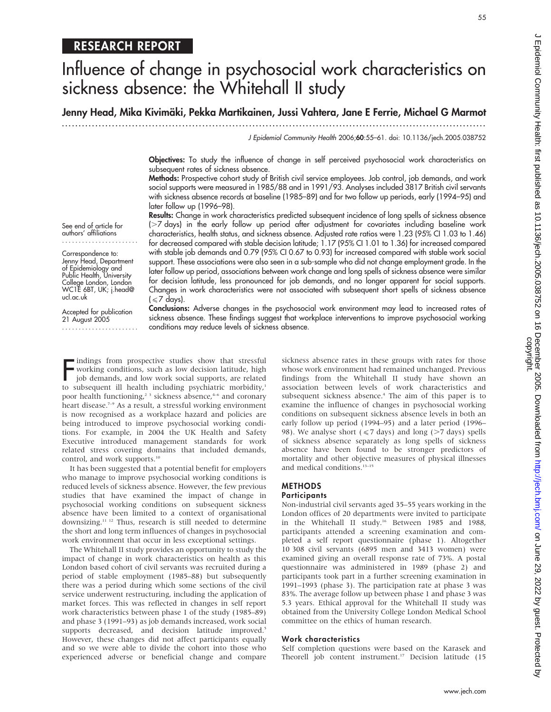# Influence of change in psychosocial work characteristics on sickness absence: the Whitehall II study

# Jenny Head, Mika Kivimäki, Pekka Martikainen, Jussi Vahtera, Jane E Ferrie, Michael G Marmot

...............................................................................................................................

J Epidemiol Community Health 2006;60:55–61. doi: 10.1136/jech.2005.038752

Objectives: To study the influence of change in self perceived psychosocial work characteristics on subsequent rates of sickness absence.

Methods: Prospective cohort study of British civil service employees. Job control, job demands, and work social supports were measured in 1985/88 and in 1991/93. Analyses included 3817 British civil servants with sickness absence records at baseline (1985–89) and for two follow up periods, early (1994–95) and later follow up (1996–98).

Results: Change in work characteristics predicted subsequent incidence of long spells of sickness absence (>7 days) in the early follow up period after adjustment for covariates including baseline work characteristics, health status, and sickness absence. Adjusted rate ratios were 1.23 (95% CI 1.03 to 1.46) for decreased compared with stable decision latitude; 1.17 (95% CI 1.01 to 1.36) for increased compared with stable job demands and 0.79 (95% CI 0.67 to 0.93) for increased compared with stable work social support. These associations were also seen in a sub-sample who did not change employment grade. In the later follow up period, associations between work change and long spells of sickness absence were similar for decision latitude, less pronounced for job demands, and no longer apparent for social supports. Changes in work characteristics were not associated with subsequent short spells of sickness absence  $\leq 7$  days).

See end of article for authors' affiliations .......................

Correspondence to: Jenny Head, Department of Epidemiology and Public Health, University College London, London WC1E 6BT, UK; j.head@ ucl.ac.uk

Accepted for publication 21 August 2005 ....................... Conclusions: Adverse changes in the psychosocial work environment may lead to increased rates of sickness absence. These findings suggest that workplace interventions to improve psychosocial working conditions may reduce levels of sickness absence.

Indings from prospective studies show that stressful<br>working conditions, such as low decision latitude, high<br>job demands, and low work social supports, are related<br>to subsequent ill health including psychiatric morbidity,<sup></sup> indings from prospective studies show that stressful working conditions, such as low decision latitude, high job demands, and low work social supports, are related poor health functioning,<sup>23</sup> sickness absence,<sup>4-6</sup> and coronary heart disease.<sup>7-9</sup> As a result, a stressful working environment is now recognised as a workplace hazard and policies are being introduced to improve psychosocial working conditions. For example, in 2004 the UK Health and Safety Executive introduced management standards for work related stress covering domains that included demands, control, and work supports.<sup>10</sup>

It has been suggested that a potential benefit for employers who manage to improve psychosocial working conditions is reduced levels of sickness absence. However, the few previous studies that have examined the impact of change in psychosocial working conditions on subsequent sickness absence have been limited to a context of organisational downsizing.11 12 Thus, research is still needed to determine the short and long term influences of changes in psychosocial work environment that occur in less exceptional settings.

The Whitehall II study provides an opportunity to study the impact of change in work characteristics on health as this London based cohort of civil servants was recruited during a period of stable employment (1985–88) but subsequently there was a period during which some sections of the civil service underwent restructuring, including the application of market forces. This was reflected in changes in self report work characteristics between phase 1 of the study (1985–89) and phase 3 (1991–93) as job demands increased, work social supports decreased, and decision latitude improved.<sup>5</sup> However, these changes did not affect participants equally and so we were able to divide the cohort into those who experienced adverse or beneficial change and compare sickness absence rates in these groups with rates for those whose work environment had remained unchanged. Previous findings from the Whitehall II study have shown an association between levels of work characteristics and subsequent sickness absence.<sup>4</sup> The aim of this paper is to examine the influence of changes in psychosocial working conditions on subsequent sickness absence levels in both an early follow up period (1994–95) and a later period (1996– 98). We analyse short ( $\leq 7$  days) and long ( $> 7$  days) spells of sickness absence separately as long spells of sickness absence have been found to be stronger predictors of mortality and other objective measures of physical illnesses and medical conditions.<sup>13-15</sup>

## METHODS

## **Participants**

Non-industrial civil servants aged 35–55 years working in the London offices of 20 departments were invited to participate in the Whitehall II study.<sup>16</sup> Between 1985 and 1988, participants attended a screening examination and completed a self report questionnaire (phase 1). Altogether 10 308 civil servants (6895 men and 3413 women) were examined giving an overall response rate of 73%. A postal questionnaire was administered in 1989 (phase 2) and participants took part in a further screening examination in 1991–1993 (phase 3). The participation rate at phase 3 was 83%. The average follow up between phase 1 and phase 3 was 5.3 years. Ethical approval for the Whitehall II study was obtained from the University College London Medical School committee on the ethics of human research.

# Work characteristics

Self completion questions were based on the Karasek and Theorell job content instrument.<sup>17</sup> Decision latitude (15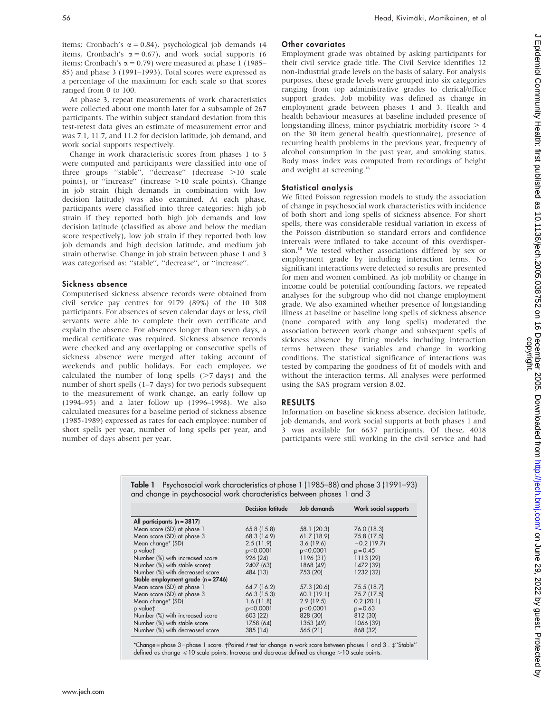items; Cronbach's  $\alpha = 0.84$ ), psychological job demands (4 items, Cronbach's  $\alpha = 0.67$ ), and work social supports (6 items; Cronbach's  $\alpha$  = 0.79) were measured at phase 1 (1985– 85) and phase 3 (1991–1993). Total scores were expressed as a percentage of the maximum for each scale so that scores ranged from 0 to 100.

At phase 3, repeat measurements of work characteristics were collected about one month later for a subsample of 267 participants. The within subject standard deviation from this test-retest data gives an estimate of measurement error and was 7.1, 11.7, and 11.2 for decision latitude, job demand, and work social supports respectively.

Change in work characteristic scores from phases 1 to 3 were computed and participants were classified into one of three groups "stable", "decrease" (decrease >10 scale points), or "increase" (increase  $>10$  scale points). Change in job strain (high demands in combination with low decision latitude) was also examined. At each phase, participants were classified into three categories: high job strain if they reported both high job demands and low decision latitude (classified as above and below the median score respectively), low job strain if they reported both low job demands and high decision latitude, and medium job strain otherwise. Change in job strain between phase 1 and 3 was categorised as: ''stable'', ''decrease'', or ''increase''.

## Sickness absence

Computerised sickness absence records were obtained from civil service pay centres for 9179 (89%) of the 10 308 participants. For absences of seven calendar days or less, civil servants were able to complete their own certificate and explain the absence. For absences longer than seven days, a medical certificate was required. Sickness absence records were checked and any overlapping or consecutive spells of sickness absence were merged after taking account of weekends and public holidays. For each employee, we calculated the number of long spells  $($  >7 days) and the number of short spells (1–7 days) for two periods subsequent to the measurement of work change, an early follow up (1994–95) and a later follow up (1996–1998). We also calculated measures for a baseline period of sickness absence (1985-1989) expressed as rates for each employee: number of short spells per year, number of long spells per year, and number of days absent per year.

## Other covariates

Employment grade was obtained by asking participants for their civil service grade title. The Civil Service identifies 12 non-industrial grade levels on the basis of salary. For analysis purposes, these grade levels were grouped into six categories ranging from top administrative grades to clerical/office support grades. Job mobility was defined as change in employment grade between phases 1 and 3. Health and health behaviour measures at baseline included presence of longstanding illness, minor psychiatric morbidity (score  $> 4$ on the 30 item general health questionnaire), presence of recurring health problems in the previous year, frequency of alcohol consumption in the past year, and smoking status. Body mass index was computed from recordings of height and weight at screening.<sup>16</sup>

## Statistical analysis

We fitted Poisson regression models to study the association of change in psychosocial work characteristics with incidence of both short and long spells of sickness absence. For short spells, there was considerable residual variation in excess of the Poisson distribution so standard errors and confidence intervals were inflated to take account of this overdispersion.18 We tested whether associations differed by sex or employment grade by including interaction terms. No significant interactions were detected so results are presented for men and women combined. As job mobility or change in income could be potential confounding factors, we repeated analyses for the subgroup who did not change employment grade. We also examined whether presence of longstanding illness at baseline or baseline long spells of sickness absence (none compared with any long spells) moderated the association between work change and subsequent spells of sickness absence by fitting models including interaction terms between these variables and change in working conditions. The statistical significance of interactions was tested by comparing the goodness of fit of models with and without the interaction terms. All analyses were performed using the SAS program version 8.02.

## RESULTS

Information on baseline sickness absence, decision latitude, job demands, and work social supports at both phases 1 and 3 was available for 6637 participants. Of these, 4018 participants were still working in the civil service and had

Table 1 Psychosocial work characteristics at phase 1 (1985–88) and phase 3 (1991–93) and change in psychosocial work characteristics between phases 1 and 3

|                                      | Decision latitude | Job demands | Work social supports |
|--------------------------------------|-------------------|-------------|----------------------|
| All participants $(n = 3817)$        |                   |             |                      |
| Mean score (SD) at phase 1           | 65.8 (15.8)       | 58.1 (20.3) | 76.0 (18.3)          |
| Mean score (SD) at phase 3           | 68.3 (14.9)       | 61.7(18.9)  | 75.8 (17.5)          |
| Mean change* (SD)                    | 2.5(11.9)         | 3.6(19.6)   | $-0.2$ (19.7)        |
| p valuet                             | p<0.0001          | p<0.0001    | $p = 0.45$           |
| Number (%) with increased score      | 926 (24)          | 1196 (31)   | 1113 (29)            |
| Number (%) with stable scoret        | 2407 (63)         | 1868 (49)   | 1472 (39)            |
| Number (%) with decreased score      | 484 (13)          | 753 (20)    | 1232 (32)            |
| Stable employment grade $(n = 2746)$ |                   |             |                      |
| Mean score (SD) at phase 1           | 64.7 (16.2)       | 57.3 (20.6) | 75.5 (18.7)          |
| Mean score (SD) at phase 3           | 66.3(15.3)        | 60.1 (19.1) | 75.7 (17.5)          |
| Mean change* (SD)                    | 1.6(11.8)         | 2.9(19.5)   | 0.2(20.1)            |
| p valuet                             | p<0.0001          | p<0.0001    | $p = 0.63$           |
| Number (%) with increased score      | 603 (22)          | 828 (30)    | 812 (30)             |
| Number (%) with stable score         | 1758 (64)         | 1353 (49)   | 1066 (39)            |
| Number (%) with decreased score      | 385 (14)          | 565 (21)    | 868 (32)             |

hange=phase 3–phase 1 score. †Paired t test for change in work score between phases 1 and 3 . ‡''Stable' defined as change  $\leqslant$  10 scale points. Increase and decrease defined as change  $>$  10 scale points.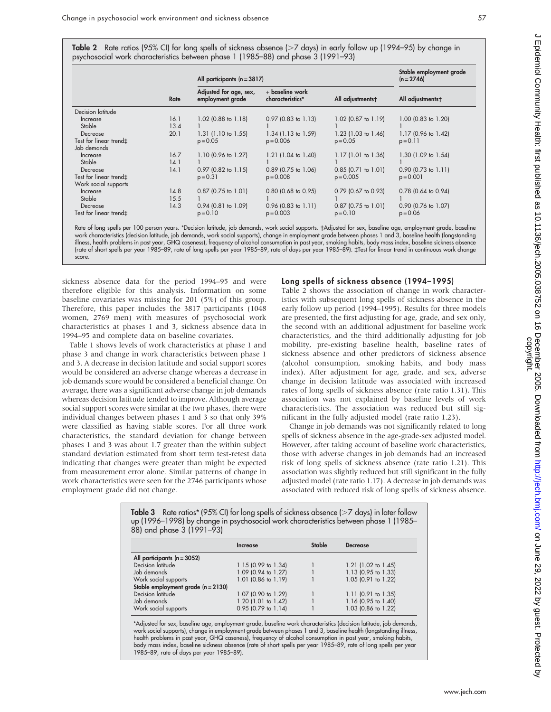Table 2 Rate ratios (95% CI) for long spells of sickness absence (>7 days) in early follow up (1994–95) by change in psychosocial work characteristics between phase 1 (1985–88) and phase 3 (1991–93)

|                        |      | All participants $(n = 3817)$              |                                       |                       |                       |
|------------------------|------|--------------------------------------------|---------------------------------------|-----------------------|-----------------------|
|                        | Rate | Adjusted for age, sex,<br>employment grade | $+$ baseline work<br>characteristics* | All adjustmentst      | All adjustmentst      |
| Decision latitude      |      |                                            |                                       |                       |                       |
| Increase               | 16.1 | 1.02 (0.88 to 1.18)                        | $0.97$ (0.83 to 1.13)                 | 1.02 (0.87 to 1.19)   | $1.00$ (0.83 to 1.20) |
| Stable                 | 13.4 |                                            |                                       |                       |                       |
| Decrease               | 20.1 | $1.31$ (1.10 to 1.55)                      | 1.34 (1.13 to 1.59)                   | 1.23 (1.03 to 1.46)   | $1.17$ (0.96 to 1.42) |
| Test for linear trend‡ |      | $p = 0.05$                                 | $p = 0.006$                           | $p = 0.05$            | $p = 0.11$            |
| Job demands            |      |                                            |                                       |                       |                       |
| Increase               | 16.7 | 1.10 (0.96 to 1.27)                        | 1.21 $(1.04 \text{ to } 1.40)$        | $1.17$ (1.01 to 1.36) | 1.30 (1.09 to 1.54)   |
| Stable                 | 14.1 |                                            |                                       |                       |                       |
| Decrease               | 14.1 | $0.97$ (0.82 to 1.15)                      | $0.89$ (0.75 to 1.06)                 | $0.85$ (0.71 to 1.01) | $0.90$ (0.73 to 1.11) |
| Test for linear trend‡ |      | $p = 0.31$                                 | $p = 0.008$                           | $p = 0.005$           | $p = 0.001$           |
| Work social supports   |      |                                            |                                       |                       |                       |
| Increase               | 14.8 | $0.87$ (0.75 to 1.01)                      | $0.80$ (0.68 to 0.95)                 | $0.79$ (0.67 to 0.93) | $0.78$ (0.64 to 0.94) |
| Stable                 | 15.5 |                                            |                                       |                       |                       |
| Decrease               | 14.3 | $0.94$ (0.81 to 1.09)                      | $0.96$ (0.83 to 1.11)                 | $0.87$ (0.75 to 1.01) | $0.90$ (0.76 to 1.07) |
| Test for linear trend‡ |      | $p = 0.10$                                 | $p = 0.003$                           | $p = 0.10$            | $p = 0.06$            |

Rate of long spells per 100 person years. \*Decision latitude, job demands, work social supports. †Adjusted for sex, baseline age, employment grade, baseline work characteristics (decision latitude, job demands, work social supports), change in employment grade between phases 1 and 3, baseline health (longstanding illness, health problems in past year, GHQ caseness), frequency of alcohol consumption in past year, smoking habits, body mass index, baseline sickness absence (rate of short spells per year 1985–89, rate of long spells per year 1985–89, rate of days per year 1985–89). ‡Test for linear trend in continuous work change score.

sickness absence data for the period 1994–95 and were therefore eligible for this analysis. Information on some baseline covariates was missing for 201 (5%) of this group. Therefore, this paper includes the 3817 participants (1048 women, 2769 men) with measures of psychosocial work characteristics at phases 1 and 3, sickness absence data in 1994–95 and complete data on baseline covariates.

Table 1 shows levels of work characteristics at phase 1 and phase 3 and change in work characteristics between phase 1 and 3. A decrease in decision latitude and social support scores would be considered an adverse change whereas a decrease in job demands score would be considered a beneficial change. On average, there was a significant adverse change in job demands whereas decision latitude tended to improve. Although average social support scores were similar at the two phases, there were individual changes between phases 1 and 3 so that only 39% were classified as having stable scores. For all three work characteristics, the standard deviation for change between phases 1 and 3 was about 1.7 greater than the within subject standard deviation estimated from short term test-retest data indicating that changes were greater than might be expected from measurement error alone. Similar patterns of change in work characteristics were seen for the 2746 participants whose employment grade did not change.

# Long spells of sickness absence (1994–1995)

Table 2 shows the association of change in work characteristics with subsequent long spells of sickness absence in the early follow up period (1994–1995). Results for three models are presented, the first adjusting for age, grade, and sex only, the second with an additional adjustment for baseline work characteristics, and the third additionally adjusting for job mobility, pre-existing baseline health, baseline rates of sickness absence and other predictors of sickness absence (alcohol consumption, smoking habits, and body mass index). After adjustment for age, grade, and sex, adverse change in decision latitude was associated with increased rates of long spells of sickness absence (rate ratio 1.31). This association was not explained by baseline levels of work characteristics. The association was reduced but still significant in the fully adjusted model (rate ratio 1.23).

Change in job demands was not significantly related to long spells of sickness absence in the age-grade-sex adjusted model. However, after taking account of baseline work characteristics, those with adverse changes in job demands had an increased risk of long spells of sickness absence (rate ratio 1.21). This association was slightly reduced but still significant in the fully adjusted model (rate ratio 1.17). A decrease in job demands was associated with reduced risk of long spells of sickness absence.

| pp (1770 - 1770) by change in psychosocial work characteristics between phase + (1765<br>88) and phase 3 (1991–93) |                       |               |                     |  |  |
|--------------------------------------------------------------------------------------------------------------------|-----------------------|---------------|---------------------|--|--|
|                                                                                                                    | Increase              | <b>Stable</b> | <b>Decrease</b>     |  |  |
| All participants $(n = 3052)$                                                                                      |                       |               |                     |  |  |
| Decision latitude                                                                                                  | 1.15 (0.99 to 1.34)   |               | 1.21 (1.02 to 1.45) |  |  |
| Job demands                                                                                                        | 1.09 (0.94 to 1.27)   |               | 1.13 (0.95 to 1.33) |  |  |
| Work social supports                                                                                               | 1.01 (0.86 to 1.19)   |               | 1.05 (0.91 to 1.22) |  |  |
| Stable employment grade $(n = 2130)$                                                                               |                       |               |                     |  |  |
| Decision latitude                                                                                                  | 1.07 (0.90 to 1.29)   |               | 1.11 (0.91 to 1.35) |  |  |
| Job demands                                                                                                        | 1.20 (1.01 to 1.42)   |               | 1.16 (0.95 to 1.40) |  |  |
| Work social supports                                                                                               | $0.95$ (0.79 to 1.14) |               | 1.03 (0.86 to 1.22) |  |  |

**Table 3** Rate ratios\* (95% CI) for long spells of sickness absence ( $>7$  days) in later follow

 $\mu_{\rm p}$  (1996–1998) by change in psychosocial work characteristics between

\*Adjusted for sex, baseline age, employment grade, baseline work characteristics (decision latitude, job demands, work social supports), change in employment grade between phases 1 and 3, baseline health (longstanding illness, health problems in past year, GHQ caseness), frequency of alcohol consumption in past year, smoking habits, body mass index, baseline sickness absence (rate of short spells per year 1985–89, rate of long spells per year 1985–89, rate of days per year 1985–89).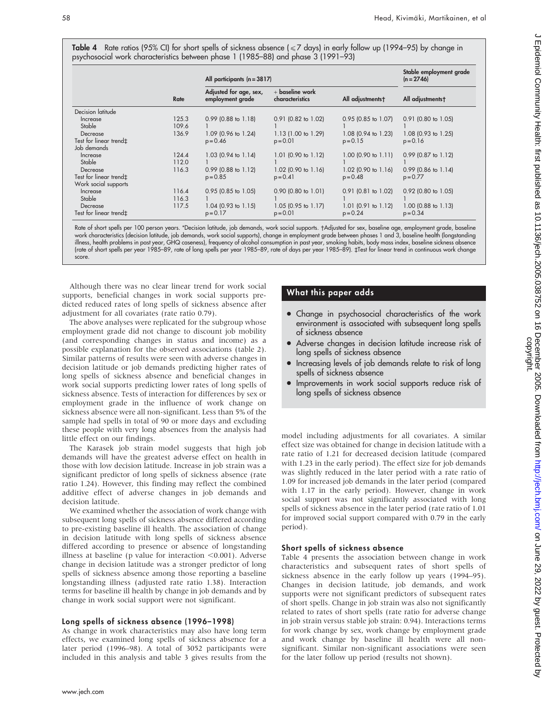Table 4 Rate ratios (95% CI) for short spells of sickness absence ( $\leq$  7 days) in early follow up (1994–95) by change in psychosocial work characteristics between phase 1 (1985–88) and phase 3 (1991–93)

|                                                            |                | All participants $(n = 3817)$              | Stable employment grade<br>$(n = 2746)$ |                                        |                                        |
|------------------------------------------------------------|----------------|--------------------------------------------|-----------------------------------------|----------------------------------------|----------------------------------------|
|                                                            | Rate           | Adjusted for age, sex,<br>employment grade | $+$ baseline work<br>characteristics    | All adjustmentst                       | All adjustmentst                       |
| Decision latitude                                          |                |                                            |                                         |                                        |                                        |
| Increase<br>Stable                                         | 125.3<br>109.6 | $0.99$ (0.88 to 1.18)                      | $0.91$ (0.82 to 1.02)                   | $0.95$ (0.85 to 1.07)                  | $0.91$ (0.80 to 1.05)                  |
| Decrease<br>Test for linear trend‡<br>Job demands          | 136.9          | 1.09 (0.96 to 1.24)<br>$p = 0.46$          | $1.13$ (1.00 to 1.29)<br>$p = 0.01$     | $1.08$ (0.94 to 1.23)<br>$p = 0.15$    | 1.08 (0.93 to 1.25)<br>$p = 0.16$      |
| Increase<br>Stable                                         | 124.4<br>112.0 | $1.03$ (0.94 to $1.14$ )                   | $1.01$ (0.90 to $1.12$ )                | $1.00$ (0.90 to $1.11$ )               | $0.99$ (0.87 to 1.12)                  |
| Decrease<br>Test for linear trend‡<br>Work social supports | 116.3          | $0.99$ (0.88 to 1.12)<br>$p = 0.85$        | $1.02$ (0.90 to $1.16$ )<br>$p = 0.41$  | $1.02$ (0.90 to 1.16)<br>$p = 0.48$    | $0.99$ (0.86 to 1.14)<br>$p = 0.77$    |
| Increase<br>Stable                                         | 116.4<br>116.3 | $0.95$ (0.85 to 1.05)                      | $0.90$ (0.80 to 1.01)                   | $0.91$ (0.81 to 1.02)                  | $0.92$ (0.80 to 1.05)                  |
| Decrease<br>Test for linear trend‡                         | 117.5          | $1.04$ (0.93 to 1.15)<br>$p = 0.17$        | 1.05 (0.95 to 1.17)<br>$p = 0.01$       | $1.01$ (0.91 to $1.12$ )<br>$p = 0.24$ | $1.00$ (0.88 to $1.13$ )<br>$p = 0.34$ |

Rate of short spells per 100 person years. \*Decision latitude, job demands, work social supports. †Adjusted for sex, baseline age, employment grade, baseline work characteristics (decision latitude, job demands, work social supports), change in employment grade between phases 1 and 3, baseline health (longstanding illness, health problems in past year, GHQ caseness), frequency of alcohol consumption in past year, smoking habits, body mass index, baseline sickness absence (rate of short spells per year 1985–89, rate of long spells per year 1985–89, rate of days per year 1985–89). `Test for linear trend in continuous work change score.

Although there was no clear linear trend for work social supports, beneficial changes in work social supports predicted reduced rates of long spells of sickness absence after adjustment for all covariates (rate ratio 0.79).

The above analyses were replicated for the subgroup whose employment grade did not change to discount job mobility (and corresponding changes in status and income) as a possible explanation for the observed associations (table 2). Similar patterns of results were seen with adverse changes in decision latitude or job demands predicting higher rates of long spells of sickness absence and beneficial changes in work social supports predicting lower rates of long spells of sickness absence. Tests of interaction for differences by sex or employment grade in the influence of work change on sickness absence were all non-significant. Less than 5% of the sample had spells in total of 90 or more days and excluding these people with very long absences from the analysis had little effect on our findings.

The Karasek job strain model suggests that high job demands will have the greatest adverse effect on health in those with low decision latitude. Increase in job strain was a significant predictor of long spells of sickness absence (rate ratio 1.24). However, this finding may reflect the combined additive effect of adverse changes in job demands and decision latitude.

We examined whether the association of work change with subsequent long spells of sickness absence differed according to pre-existing baseline ill health. The association of change in decision latitude with long spells of sickness absence differed according to presence or absence of longstanding illness at baseline (p value for interaction  $<$  0.001). Adverse change in decision latitude was a stronger predictor of long spells of sickness absence among those reporting a baseline longstanding illness (adjusted rate ratio 1.38). Interaction terms for baseline ill health by change in job demands and by change in work social support were not significant.

# Long spells of sickness absence (1996–1998)

As change in work characteristics may also have long term effects, we examined long spells of sickness absence for a later period (1996–98). A total of 3052 participants were included in this analysis and table 3 gives results from the

# What this paper adds

- Change in psychosocial characteristics of the work environment is associated with subsequent long spells of sickness absence
- Adverse changes in decision latitude increase risk of long spells of sickness absence
- Increasing levels of job demands relate to risk of long spells of sickness absence
- Improvements in work social supports reduce risk of long spells of sickness absence

model including adjustments for all covariates. A similar effect size was obtained for change in decision latitude with a rate ratio of 1.21 for decreased decision latitude (compared with 1.23 in the early period). The effect size for job demands was slightly reduced in the later period with a rate ratio of 1.09 for increased job demands in the later period (compared with 1.17 in the early period). However, change in work social support was not significantly associated with long spells of sickness absence in the later period (rate ratio of 1.01 for improved social support compared with 0.79 in the early period).

# Short spells of sickness absence

Table 4 presents the association between change in work characteristics and subsequent rates of short spells of sickness absence in the early follow up years (1994–95). Changes in decision latitude, job demands, and work supports were not significant predictors of subsequent rates of short spells. Change in job strain was also not significantly related to rates of short spells (rate ratio for adverse change in job strain versus stable job strain: 0.94). Interactions terms for work change by sex, work change by employment grade and work change by baseline ill health were all nonsignificant. Similar non-significant associations were seen for the later follow up period (results not shown).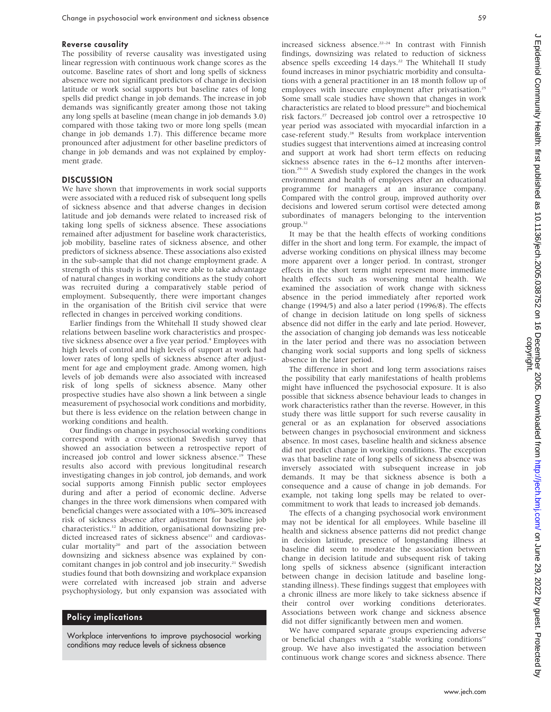#### Reverse causality

The possibility of reverse causality was investigated using linear regression with continuous work change scores as the outcome. Baseline rates of short and long spells of sickness absence were not significant predictors of change in decision latitude or work social supports but baseline rates of long spells did predict change in job demands. The increase in job demands was significantly greater among those not taking any long spells at baseline (mean change in job demands 3.0) compared with those taking two or more long spells (mean change in job demands 1.7). This difference became more pronounced after adjustment for other baseline predictors of change in job demands and was not explained by employment grade.

#### **DISCUSSION**

We have shown that improvements in work social supports were associated with a reduced risk of subsequent long spells of sickness absence and that adverse changes in decision latitude and job demands were related to increased risk of taking long spells of sickness absence. These associations remained after adjustment for baseline work characteristics, job mobility, baseline rates of sickness absence, and other predictors of sickness absence. These associations also existed in the sub-sample that did not change employment grade. A strength of this study is that we were able to take advantage of natural changes in working conditions as the study cohort was recruited during a comparatively stable period of employment. Subsequently, there were important changes in the organisation of the British civil service that were reflected in changes in perceived working conditions.

Earlier findings from the Whitehall II study showed clear relations between baseline work characteristics and prospective sickness absence over a five year period.<sup>4</sup> Employees with high levels of control and high levels of support at work had lower rates of long spells of sickness absence after adjustment for age and employment grade. Among women, high levels of job demands were also associated with increased risk of long spells of sickness absence. Many other prospective studies have also shown a link between a single measurement of psychosocial work conditions and morbidity, but there is less evidence on the relation between change in working conditions and health.

Our findings on change in psychosocial working conditions correspond with a cross sectional Swedish survey that showed an association between a retrospective report of increased job control and lower sickness absence.<sup>19</sup> These results also accord with previous longitudinal research investigating changes in job control, job demands, and work social supports among Finnish public sector employees during and after a period of economic decline. Adverse changes in the three work dimensions when compared with beneficial changes were associated with a 10%–30% increased risk of sickness absence after adjustment for baseline job characteristics.12 In addition, organisational downsizing predicted increased rates of sickness absence<sup>11</sup> and cardiovascular mortality<sup>20</sup> and part of the association between downsizing and sickness absence was explained by concomitant changes in job control and job insecurity.<sup>21</sup> Swedish studies found that both downsizing and workplace expansion were correlated with increased job strain and adverse psychophysiology, but only expansion was associated with

# Policy implications

Workplace interventions to improve psychosocial working conditions may reduce levels of sickness absence

increased sickness absence.<sup>22-24</sup> In contrast with Finnish findings, downsizing was related to reduction of sickness absence spells exceeding 14 days.<sup>22</sup> The Whitehall II study found increases in minor psychiatric morbidity and consultations with a general practitioner in an 18 month follow up of employees with insecure employment after privatisation.<sup>25</sup> Some small scale studies have shown that changes in work characteristics are related to blood pressure<sup>26</sup> and biochemical risk factors.27 Decreased job control over a retrospective 10 year period was associated with myocardial infarction in a case-referent study.28 Results from workplace intervention studies suggest that interventions aimed at increasing control and support at work had short term effects on reducing sickness absence rates in the 6–12 months after intervention.29–31 A Swedish study explored the changes in the work environment and health of employees after an educational programme for managers at an insurance company. Compared with the control group, improved authority over decisions and lowered serum cortisol were detected among subordinates of managers belonging to the intervention group.32

It may be that the health effects of working conditions differ in the short and long term. For example, the impact of adverse working conditions on physical illness may become more apparent over a longer period. In contrast, stronger effects in the short term might represent more immediate health effects such as worsening mental health. We examined the association of work change with sickness absence in the period immediately after reported work change (1994/5) and also a later period (1996/8). The effects of change in decision latitude on long spells of sickness absence did not differ in the early and late period. However, the association of changing job demands was less noticeable in the later period and there was no association between changing work social supports and long spells of sickness absence in the later period.

The difference in short and long term associations raises the possibility that early manifestations of health problems might have influenced the psychosocial exposure. It is also possible that sickness absence behaviour leads to changes in work characteristics rather than the reverse. However, in this study there was little support for such reverse causality in general or as an explanation for observed associations between changes in psychosocial environment and sickness absence. In most cases, baseline health and sickness absence did not predict change in working conditions. The exception was that baseline rate of long spells of sickness absence was inversely associated with subsequent increase in job demands. It may be that sickness absence is both a consequence and a cause of change in job demands. For example, not taking long spells may be related to overcommitment to work that leads to increased job demands.

The effects of a changing psychosocial work environment may not be identical for all employees. While baseline ill health and sickness absence patterns did not predict change in decision latitude, presence of longstanding illness at baseline did seem to moderate the association between change in decision latitude and subsequent risk of taking long spells of sickness absence (significant interaction between change in decision latitude and baseline longstanding illness). These findings suggest that employees with a chronic illness are more likely to take sickness absence if their control over working conditions deteriorates. Associations between work change and sickness absence did not differ significantly between men and women.

We have compared separate groups experiencing adverse or beneficial changes with a ''stable working conditions'' group. We have also investigated the association between continuous work change scores and sickness absence. There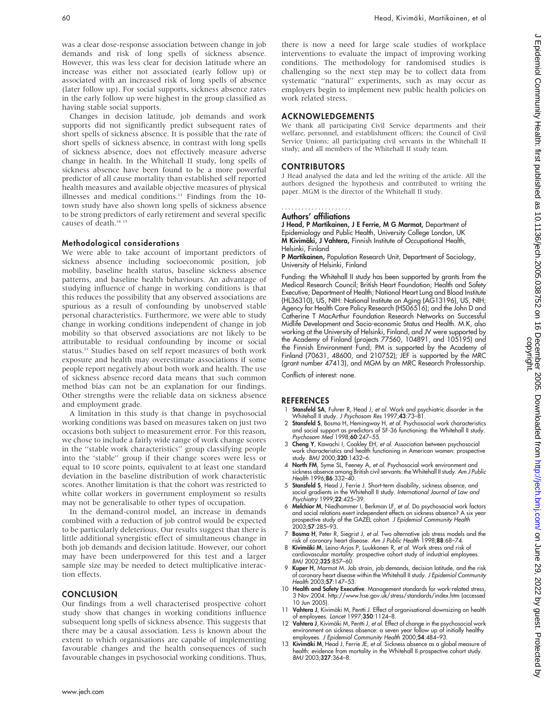was a clear dose-response association between change in job demands and risk of long spells of sickness absence. However, this was less clear for decision latitude where an increase was either not associated (early follow up) or associated with an increased risk of long spells of absence (later follow up). For social supports, sickness absence rates in the early follow up were highest in the group classified as having stable social supports.

Changes in decision latitude, job demands and work supports did not significantly predict subsequent rates of short spells of sickness absence. It is possible that the rate of short spells of sickness absence, in contrast with long spells of sickness absence, does not effectively measure adverse change in health. In the Whitehall II study, long spells of sickness absence have been found to be a more powerful predictor of all cause mortality than established self reported health measures and available objective measures of physical illnesses and medical conditions.<sup>13</sup> Findings from the 10town study have also shown long spells of sickness absence to be strong predictors of early retirement and several specific causes of death.<sup>14 15</sup>

## Methodological considerations

We were able to take account of important predictors of sickness absence including socioeconomic position, job mobility, baseline health status, baseline sickness absence patterns, and baseline health behaviours. An advantage of studying influence of change in working conditions is that this reduces the possibility that any observed associations are spurious as a result of confounding by unobserved stable personal characteristics. Furthermore, we were able to study change in working conditions independent of change in job mobility so that observed associations are not likely to be attributable to residual confounding by income or social status.<sup>33</sup> Studies based on self report measures of both work exposure and health may overestimate associations if some people report negatively about both work and health. The use of sickness absence record data means that such common method bias can not be an explanation for our findings. Other strengths were the reliable data on sickness absence and employment grade.

A limitation in this study is that change in psychosocial working conditions was based on measures taken on just two occasions both subject to measurement error. For this reason, we chose to include a fairly wide range of work change scores in the ''stable work characteristics'' group classifying people into the 'stable'' group if their change scores were less or equal to 10 score points, equivalent to at least one standard deviation in the baseline distribution of work characteristic scores. Another limitation is that the cohort was restricted to white collar workers in government employment so results may not be generalisable to other types of occupation.

In the demand-control model, an increase in demands combined with a reduction of job control would be expected to be particularly deleterious. Our results suggest that there is little additional synergistic effect of simultaneous change in both job demands and decision latitude. However, our cohort may have been underpowered for this test and a larger sample size may be needed to detect multiplicative interaction effects.

## **CONCLUSION**

Our findings from a well characterised prospective cohort study show that changes in working conditions influence subsequent long spells of sickness absence. This suggests that there may be a causal association. Less is known about the extent to which organisations are capable of implementing favourable changes and the health consequences of such favourable changes in psychosocial working conditions. Thus, there is now a need for large scale studies of workplace interventions to evaluate the impact of improving working conditions. The methodology for randomised studies is challenging so the next step may be to collect data from systematic ''natural'' experiments, such as may occur as employers begin to implement new public health policies on work related stress.

# ACKNOWLEDGEMENTS

We thank all participating Civil Service departments and their welfare, personnel, and establishment officers; the Council of Civil Service Unions; all participating civil servants in the Whitehall II study; and all members of the Whitehall II study team.

# **CONTRIBUTORS**

J Head analysed the data and led the writing of the article. All the authors designed the hypothesis and contributed to writing the paper. MGM is the director of the Whitehall II study.

#### Authors' affiliations .....................

J Head, P Martikainen, J E Ferrie, M G Marmot, Department of Epidemiology and Public Health, University College London, UK M Kivimäki, J Vahtera, Finnish Institute of Occupational Health, Helsinki, Finland

P Martikainen, Population Research Unit, Department of Sociology, University of Helsinki, Finland

Funding: the Whitehall II study has been supported by grants from the Medical Research Council; British Heart Foundation; Health and Safety Executive; Department of Health; National Heart Lung and Blood Institute (HL36310), US, NIH: National Institute on Aging (AG13196), US, NIH; Agency for Health Care Policy Research (HS06516); and the John D and Catherine T MacArthur Foundation Research Networks on Successful Midlife Development and Socio-economic Status and Health. M.K, also working at the University of Helsinki, Finland, and JV were supported by the Academy of Finland (projects 77560, 104891, and 105195) and the Finnish Environment Fund; PM is supported by the Academy of Finland (70631, 48600, and 210752); JEF is supported by the MRC (grant number 47413), and MGM by an MRC Research Professorship.

Conflicts of interest: none.

# **REFERENCES**

- 1 **Stansfeld SA**, Fuhrer R, Head J, *et al.* Work and psychiatric disorder in the<br>Whitehall II study. *J Psychosom Res* 1997;**43**:73–81.<br>2 **Stansfeld S**, Bosma H, Hemingway H, *et al.* Psychosocial work characteristics
- and social support as predictors of SF-36 functioning: the Whitehall II study. Psychosom Med 1998;60:247–55.
- 3 Cheng Y, Kawachi I, Coakley EH, et al. Association between psychosocial work characteristics and health functioning in American women: prospective study. BMJ 2000;320:1432–6.
- 4 North FM, Syme SL, Feeney A, et al. Psychosocial work environment and sickness absence among British civil servants: the Whitehall II study. Am J Public Health 1996:86:332-40.
- 5 Stansfeld S, Head J, Ferrie J. Short-term disability, sickness absence, and social gradients in the Whitehall II study. International Journal of Law and
- Psychiatry 1999;**22**:425–39.<br>6 Melchior M, Niedhammer I, Berkman LF, *et al.* Do psychosocial work factors<br>and social relations exert independent effects on sickness absence? A six year prospective study of the GAZEL cohort. *J Epidemiol Community Health*<br>2003;**57**:285–93.
- 7 Bosma H, Peter R, Siegrist J, et al. Two alternative job stress models and the risk of coronary heart disease. Am J Public Health 1998;88:68–74.
- 8 Kivimäki M, Leino-Arjas P, Luukkonen R, et al. Work stress and risk of cardiovascular mortality: prospective cohort study of industrial employees. BMJ 2002;325:857–60.
- 9 Kuper H, Marmot M. Job strain, job demands, decision latitude, and the risk of coronary heart disease within the Whitehall II study. J Epidemiol Community Health 2003;57:147-53.
- 10 Health and Safety Executive. Management standards for work-related stress, 3 Nov 2004. http://www.hse.gov.uk/stress/standards/index.htm (accessed 10 Jun 2005).
- 11 Vahtera J, Kivimäki M, Pentti J. Effect of organisational downsizing on health of employees. Lancet 1997;350:1124–8.
- 12 **Vahtera J**, Kivimäki M, Pentti J, *et al.* Effect of change in the psychosocial work environment on sickness absence: a seven year tollow up ot initially healthy<br>employees. *J Epidemiol Community Health* 2000;**54**:484–93.
- 13 Kivimäki M, Head J, Ferrie JE, et al. Sickness absence as a global measure of health: evidence from mortality in the Whitehall II prospective cohort study. BMJ 2003;327:364–8.